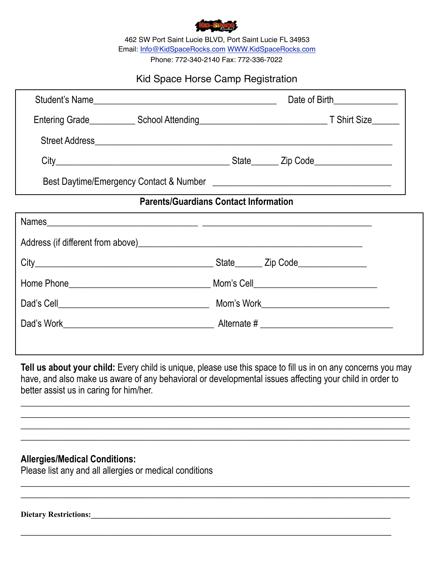

462 SW Port Saint Lucie BLVD, Port Saint Lucie FL 34953 Email: [Info@KidSpaceRocks.com](mailto:Info@KidSpaceRocks.com) [WWW.KidSpaceRocks.com](http://WWW.KidSpaceRocks.com) Phone: 772-340-2140 Fax: 772-336-7022

## Kid Space Horse Camp Registration

|                                              | Student's Name |  | Date of Birth________________ |  |  |  |  |
|----------------------------------------------|----------------|--|-------------------------------|--|--|--|--|
|                                              |                |  |                               |  |  |  |  |
|                                              |                |  |                               |  |  |  |  |
|                                              |                |  |                               |  |  |  |  |
|                                              |                |  |                               |  |  |  |  |
| <b>Parents/Guardians Contact Information</b> |                |  |                               |  |  |  |  |
| $l$ amoo                                     |                |  |                               |  |  |  |  |

| Names and the contract of the contract of the contract of the contract of the contract of the contract of the contract of the contract of the contract of the contract of the contract of the contract of the contract of the |                                                                            |
|-------------------------------------------------------------------------------------------------------------------------------------------------------------------------------------------------------------------------------|----------------------------------------------------------------------------|
|                                                                                                                                                                                                                               | Address (if different from above) Manual Address (if different from above) |
|                                                                                                                                                                                                                               | State_________ Zip Code_________________                                   |
|                                                                                                                                                                                                                               | Mom's Cell_______________________________                                  |
|                                                                                                                                                                                                                               | Mom's Work <u>__________________________________</u>                       |
|                                                                                                                                                                                                                               |                                                                            |
|                                                                                                                                                                                                                               |                                                                            |
|                                                                                                                                                                                                                               |                                                                            |

**Tell us about your child:** Every child is unique, please use this space to fill us in on any concerns you may have, and also make us aware of any behavioral or developmental issues affecting your child in order to better assist us in caring for him/her.

**\_\_\_\_\_\_\_\_\_\_\_\_\_\_\_\_\_\_\_\_\_\_\_\_\_\_\_\_\_\_\_\_\_\_\_\_\_\_\_\_\_\_\_\_\_\_\_\_\_\_\_\_\_\_\_\_\_\_\_\_\_\_\_\_\_\_\_\_\_\_\_\_\_\_\_\_\_\_\_\_\_\_\_\_\_ \_\_\_\_\_\_\_\_\_\_\_\_\_\_\_\_\_\_\_\_\_\_\_\_\_\_\_\_\_\_\_\_\_\_\_\_\_\_\_\_\_\_\_\_\_\_\_\_\_\_\_\_\_\_\_\_\_\_\_\_\_\_\_\_\_\_\_\_\_\_\_\_\_\_\_\_\_\_\_\_\_\_\_\_\_ \_\_\_\_\_\_\_\_\_\_\_\_\_\_\_\_\_\_\_\_\_\_\_\_\_\_\_\_\_\_\_\_\_\_\_\_\_\_\_\_\_\_\_\_\_\_\_\_\_\_\_\_\_\_\_\_\_\_\_\_\_\_\_\_\_\_\_\_\_\_\_\_\_\_\_\_\_\_\_\_\_\_\_\_\_ \_\_\_\_\_\_\_\_\_\_\_\_\_\_\_\_\_\_\_\_\_\_\_\_\_\_\_\_\_\_\_\_\_\_\_\_\_\_\_\_\_\_\_\_\_\_\_\_\_\_\_\_\_\_\_\_\_\_\_\_\_\_\_\_\_\_\_\_\_\_\_\_\_\_\_\_\_\_\_\_\_\_\_\_\_** 

 $\_$  , and the set of the set of the set of the set of the set of the set of the set of the set of the set of the set of the set of the set of the set of the set of the set of the set of the set of the set of the set of th  $\_$  , and the set of the set of the set of the set of the set of the set of the set of the set of the set of the set of the set of the set of the set of the set of the set of the set of the set of the set of the set of th

**\_\_\_\_\_\_\_\_\_\_\_\_\_\_\_\_\_\_\_\_\_\_\_\_\_\_\_\_\_\_\_\_\_\_\_\_\_\_\_\_\_\_\_\_\_\_\_\_\_\_\_\_\_\_\_\_\_\_\_\_\_\_\_\_\_\_\_\_\_\_\_\_\_\_\_\_\_\_\_\_\_\_\_\_\_\_\_\_\_\_\_\_\_\_**

## **Allergies/Medical Conditions:**

Please list any and all allergies or medical conditions

**Dietary Restrictions:\_\_\_\_\_\_\_\_\_\_\_\_\_\_\_\_\_\_\_\_\_\_\_\_\_\_\_\_\_\_\_\_\_\_\_\_\_\_\_\_\_\_\_\_\_\_\_\_\_\_\_\_\_\_\_\_\_\_\_\_\_\_\_\_\_\_\_\_\_\_\_\_\_\_\_\_**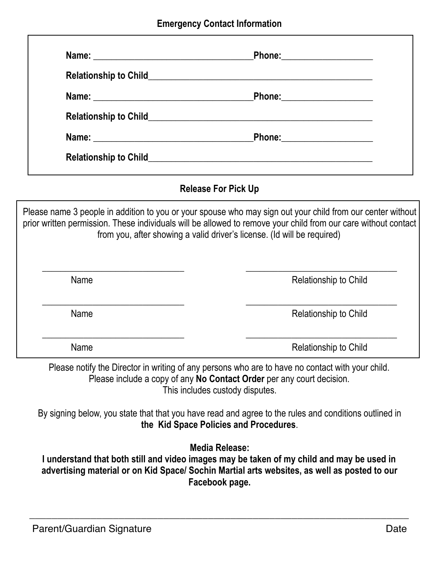| Name: 2008 2009 2012 2022 2023 2024 2022 2023 2024 2022 2023 2024 2022 2023 2024 2022 2023 2024 2022 2023 2024 | Phone: _______________________ |  |
|----------------------------------------------------------------------------------------------------------------|--------------------------------|--|
|                                                                                                                |                                |  |
|                                                                                                                |                                |  |
|                                                                                                                |                                |  |
|                                                                                                                |                                |  |
|                                                                                                                |                                |  |

# **Release For Pick Up**

Please name 3 people in addition to you or your spouse who may sign out your child from our center without prior written permission. These individuals will be allowed to remove your child from our care without contact from you, after showing a valid driver's license. (Id will be required)

| Name | Relationship to Child |
|------|-----------------------|
| Name | Relationship to Child |
| Name | Relationship to Child |

Please notify the Director in writing of any persons who are to have no contact with your child. Please include a copy of any **No Contact Order** per any court decision. This includes custody disputes.

By signing below, you state that that you have read and agree to the rules and conditions outlined in **the Kid Space Policies and Procedures**.

**Media Release:** 

**I understand that both still and video images may be taken of my child and may be used in advertising material or on Kid Space/ Sochin Martial arts websites, as well as posted to our Facebook page.** 

\_\_\_\_\_\_\_\_\_\_\_\_\_\_\_\_\_\_\_\_\_\_\_\_\_\_\_\_\_\_\_\_\_\_\_\_\_\_\_\_\_\_\_\_\_\_\_\_\_\_\_\_\_\_\_\_\_\_\_\_\_\_\_\_\_\_\_\_